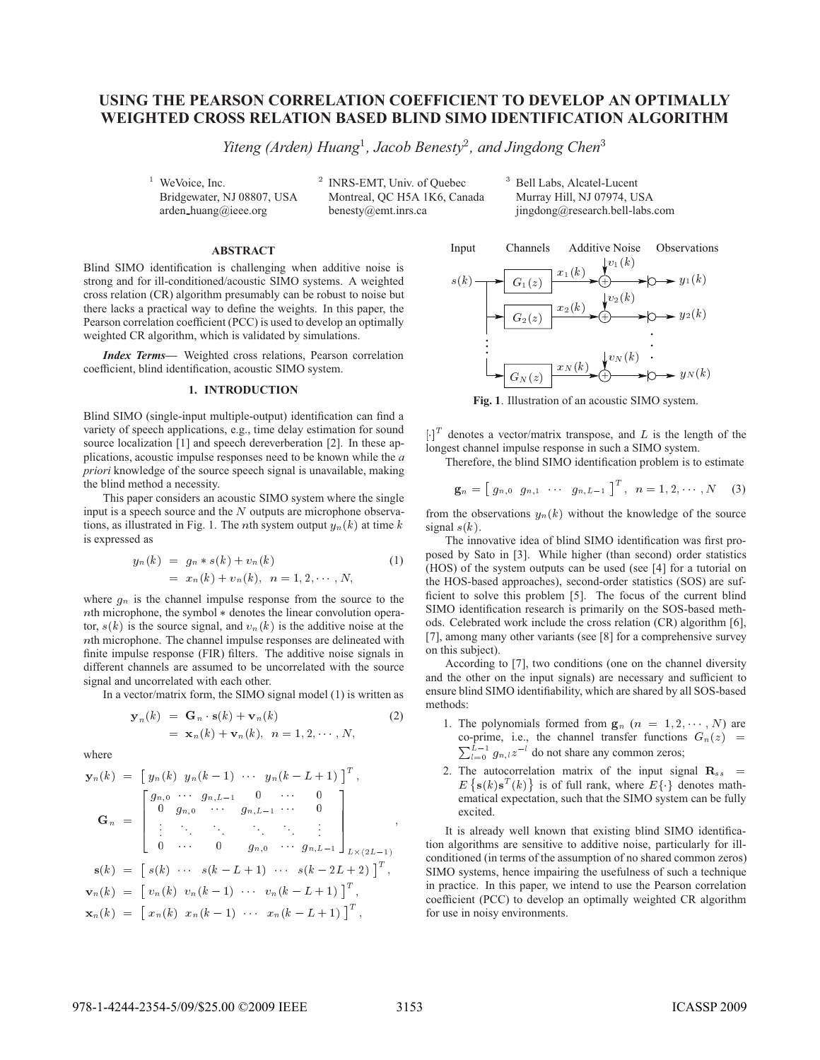## **USING THE PEARSON CORRELATION COEFFICIENT TO DEVELOP AN OPTIMALLY WEIGHTED CROSS RELATION BASED BLIND SIMO IDENTIFICATION ALGORITHM**

*Yiteng (Arden) Huang , Jacob Benesty*- *, and Jingdong Chen*

 WeVoice, Inc. Bridgewater, NJ 08807, USA arden huang@ieee.org

<sup>2</sup> INRS-EMT, Univ. of Quebec Montreal, QC H5A 1K6, Canada benesty@emt.inrs.ca

<sup>3</sup> Bell Labs, Alcatel-Lucent Murray Hill, NJ 07974, USA jingdong@research.bell-labs.com

**Blind SIMO identification is challenging when additive noise is** strong and for ill-conditioned/acoustic SIMO systems. A weighted cross relation (CR) algorithm presumably can be robust to noise but there lacks a practical way to define the weights. In this paper, the Pearson correlation coefficient (PCC) is used to develop an optimally weighted CR algorithm, which is validated by simulations.

*Index Terms***—** Weighted cross relations, Pearson correlation coefficient, blind identification, acoustic SIMO system.

Blind SIMO (single-input multiple-output) identification can find a variety of speech applications, e.g., time delay estimation for sound source localization [1] and speech dereverberation [2]. In these applications, acoustic impulse responses need to be known while the *a priori* knowledge of the source speech signal is unavailable, making the blind method a necessity.

This paper considers an acoustic SIMO system where the single input is a speech source and the  $N$  outputs are microphone observations, as illustrated in Fig. 1. The *n*th system output  $y_n(k)$  at time  $k$  signa is expressed as

$$
y_n(k) = g_n * s(k) + v_n(k)
$$
  
=  $x_n(k) + v_n(k), \quad n = 1, 2, \cdots, N,$  (1)

where  $g_n$  is the channel impulse response from the source to the  $n$ th microphone, the symbol  $*$  denotes the linear convolution operator,  $s(k)$  is the source signal, and  $v_n(k)$  is the additive noise at the  $n$ th microphone. The channel impulse responses are delineated with finite impulse response (FIR) filters. The additive noise signals in different channels are assumed to be uncorrelated with the source signal and uncorrelated with each other.

In a vector/matrix form, the SIMO signal model (1) is written as

$$
\mathbf{y}_n(k) = \mathbf{G}_n \cdot \mathbf{s}(k) + \mathbf{v}_n(k) \n= \mathbf{x}_n(k) + \mathbf{v}_n(k), \quad n = 1, 2, \cdots, N,
$$
\n(2)

where

$$
\mathbf{y}_n(k) = \begin{bmatrix} y_n(k) & y_n(k-1) & \cdots & y_n(k-L+1) \end{bmatrix}^T,
$$
  
\n
$$
\mathbf{G}_n = \begin{bmatrix} g_{n,0} & \cdots & g_{n,L-1} & 0 & \cdots & 0 \\ 0 & g_{n,0} & \cdots & g_{n,L-1} & \cdots & 0 \\ \vdots & \ddots & \ddots & \ddots & \ddots & \vdots \\ 0 & \cdots & 0 & g_{n,0} & \cdots & g_{n,L-1} \end{bmatrix}_{L \times (2L-1)},
$$
  
\n
$$
\mathbf{s}(k) = \begin{bmatrix} s(k) & \cdots & s(k-L+1) & \cdots & s(k-2L+2) \end{bmatrix}^T,
$$
  
\n
$$
\mathbf{v}_n(k) = \begin{bmatrix} v_n(k) & v_n(k-1) & \cdots & v_n(k-L+1) \end{bmatrix}^T,
$$
  
\n
$$
\mathbf{x}_n(k) = \begin{bmatrix} x_n(k) & x_n(k-1) & \cdots & x_n(k-L+1) \end{bmatrix}^T,
$$



**Fig. 1**. Illustration of an acoustic SIMO system.

 $\left[\cdot\right]^T$  denotes a vector/matrix transpose, and L is the length of the longest channel impulse response in such a SIMO system.

Therefore, the blind SIMO identification problem is to estimate

$$
\mathbf{g}_n = \left[\right. g_{n,0} \left(g_{n,1} \cdots \left(g_{n,L-1}\right)\right]^T, \quad n = 1,2,\cdots,N \quad (3)
$$

from the observations  $y_n(k)$  without the knowledge of the source signal  $s(k)$ .

The innovative idea of blind SIMO identification was first proposed by Sato in [3]. While higher (than second) order statistics (HOS) of the system outputs can be used (see [4] for a tutorial on the HOS-based approaches), second-order statistics (SOS) are sufficient to solve this problem [5]. The focus of the current blind SIMO identification research is primarily on the SOS-based methods. Celebrated work include the cross relation (CR) algorithm [6], [7], among many other variants (see [8] for a comprehensive survey on this subject).

According to [7], two conditions (one on the channel diversity and the other on the input signals) are necessary and sufficient to ensure blind SIMO identifiability, which are shared by all SOS-based methods:

- 1. The polynomials formed from  $\mathbf{g}_n$   $(n = 1, 2, \dots, N)$  are co-prime, i.e., the channel transfer functions  $G_n(z)$  =  $\sum_{l=0}^{L-1} g_{n,l} z^{-l}$  do not share any common zeros;
- 2. The autocorrelation matrix of the input signal  $\mathbf{R}_{ss}$  =  $E\{\mathbf{s}(k)\mathbf{s}^T(k)\}\$ is of full rank, where  $E\{\cdot\}$  denotes mathematical expectation, such that the SIMO system can be fully excited.

 SIMO systems, hence impairing the usefulness of such a technique It is already well known that existing blind SIMO identification algorithms are sensitive to additive noise, particularly for illconditioned (in terms of the assumption of no shared common zeros) in practice. In this paper, we intend to use the Pearson correlation coefficient (PCC) to develop an optimally weighted CR algorithm for use in noisy environments.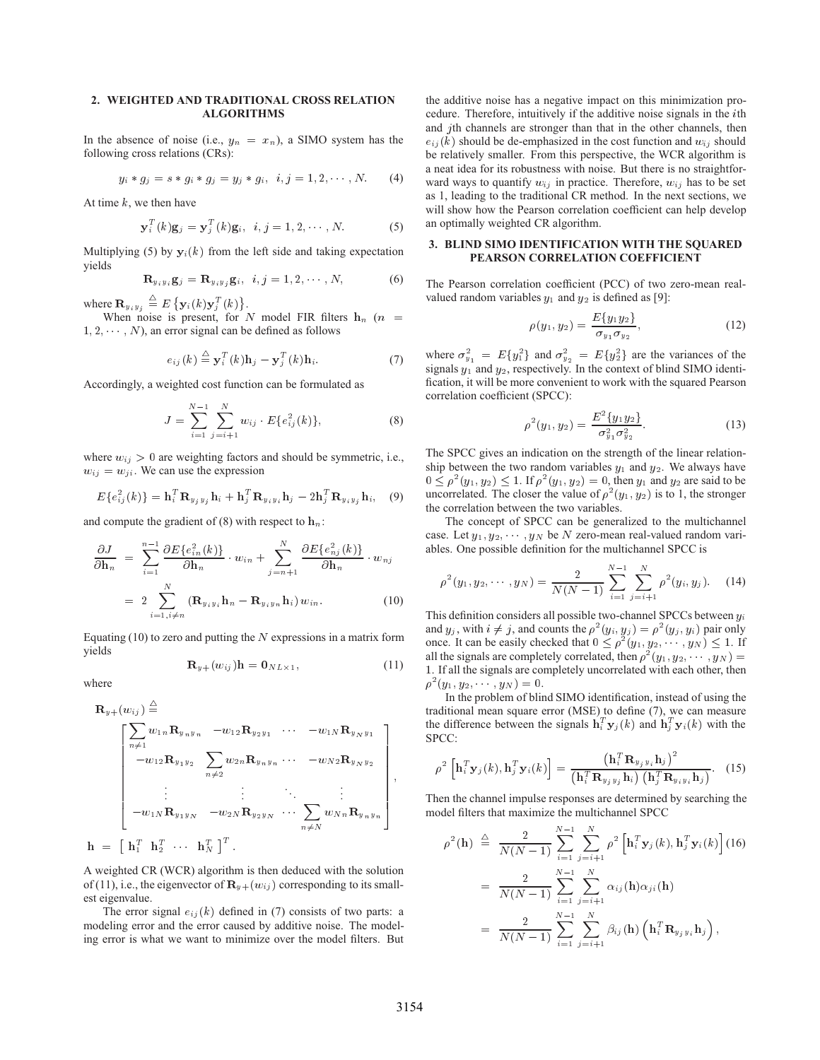## **2. WEIGHTED AND TRADITIONAL CROSS RELATION**

In the absence of noise (i.e.,  $y_n = x_n$ ), a SIMO system has the following cross relations (CRs):

$$
y_i * g_j = s * g_i * g_j = y_j * g_i, \ \ i, j = 1, 2, \cdots, N. \tag{4}
$$

At time  $k$ , we then have

$$
\mathbf{y}_i^T(k)\mathbf{g}_j = \mathbf{y}_j^T(k)\mathbf{g}_i, \ \ i, j = 1, 2, \cdots, N. \tag{5}
$$

Multiplying (5) by  $y_i(k)$  from the left side and taking expectation yields

$$
\mathbf{R}_{y_i y_i} \mathbf{g}_j = \mathbf{R}_{y_i y_j} \mathbf{g}_i, \quad i, j = 1, 2, \cdots, N,
$$
 (6)

where  $\mathbf{R}_{y_iy_j} \stackrel{\triangle}{=} E\left\{ \mathbf{y}_i(k)\mathbf{y}_i^T(k) \right\}.$ 

When noise is present, for N model FIR filters  $h_n$  ( $n =$  $1, 2, \dots, N$ , an error signal can be defined as follows

$$
e_{ij}(k) \stackrel{\triangle}{=} \mathbf{y}_i^T(k)\mathbf{h}_j - \mathbf{y}_j^T(k)\mathbf{h}_i.
$$
 (7)

Accordingly, a weighted cost function can be formulated as

$$
J = \sum_{i=1}^{N-1} \sum_{j=i+1}^{N} w_{ij} \cdot E\{e_{ij}^{2}(k)\},
$$
 (8)

where  $w_{ij} > 0$  are weighting factors and should be symmetric, i.e.,  $w_{ij} = w_{ji}$ . We can use the expression

$$
E\{e_{ij}^2(k)\} = \mathbf{h}_i^T \mathbf{R}_{y_j y_j} \mathbf{h}_i + \mathbf{h}_j^T \mathbf{R}_{y_i y_i} \mathbf{h}_j - 2\mathbf{h}_j^T \mathbf{R}_{y_i y_j} \mathbf{h}_i, \quad (9)
$$

and compute the gradient of (8) with respect to  $\mathbf{h}_n$ :

$$
\frac{\partial J}{\partial \mathbf{h}_n} = \sum_{i=1}^{n-1} \frac{\partial E\{e_{in}^2(k)\}}{\partial \mathbf{h}_n} \cdot w_{in} + \sum_{j=n+1}^N \frac{\partial E\{e_{nj}^2(k)\}}{\partial \mathbf{h}_n} \cdot w_{nj}
$$

$$
= 2 \sum_{i=1, i \neq n}^N (\mathbf{R}_{y_i y_i} \mathbf{h}_n - \mathbf{R}_{y_i y_n} \mathbf{h}_i) w_{in}.
$$
(10)

Equating (10) to zero and putting the  $N$  expressions in a matrix form yields

$$
\mathbf{R}_{y+}(w_{ij})\mathbf{h} = \mathbf{0}_{N L \times 1},\tag{11}
$$

where

$$
\mathbf{R}_{y+}(w_{ij}) \stackrel{\triangleq}{=} \text{traditt}
$$
\n
$$
\begin{bmatrix}\n\sum_{n \neq 1} w_{1n} \mathbf{R}_{y_n y_n} & -w_{12} \mathbf{R}_{y_2 y_1} & \cdots & -w_{1N} \mathbf{R}_{y_N y_1} \\
-w_{12} \mathbf{R}_{y_1 y_2} & \sum_{n \neq 2} w_{2n} \mathbf{R}_{y_n y_n} & \cdots & -w_{N2} \mathbf{R}_{y_N y_2} \\
\vdots & \vdots & \ddots & \vdots \\
-w_{1N} \mathbf{R}_{y_1 y_N} & -w_{2N} \mathbf{R}_{y_2 y_N} & \cdots & \sum_{n \neq N} w_{Nn} \mathbf{R}_{y_n y_n}\n\end{bmatrix},
$$
\n
$$
\mathbf{h} = \begin{bmatrix} \mathbf{h}_1^T & \mathbf{h}_2^T & \cdots & \mathbf{h}_N^T \end{bmatrix}^T.
$$
\n
$$
\rho^2
$$

A weighted CR (WCR) algorithm is then deduced with the solution of (11), i.e., the eigenvector of  $\mathbf{R}_{y+}(w_{ij})$  corresponding to its smallest eigenvalue.

The error signal  $e_{ij}(k)$  defined in (7) consists of two parts: a modeling error and the error caused by additive noise. The modeling error is what we want to minimize over the model filters. But the additive noise has a negative impact on this minimization procedure. Therefore, intuitively if the additive noise signals in the th and  $j$ th channels are stronger than that in the other channels, then  $e_{ij}(k)$  should be de-emphasized in the cost function and  $w_{ij}$  should be relatively smaller. From this perspective, the WCR algorithm is a neat idea for its robustness with noise. But there is no straightforward ways to quantify  $w_{ij}$  in practice. Therefore,  $w_{ij}$  has to be set as 1, leading to the traditional CR method. In the next sections, we will show how the Pearson correlation coefficient can help develop an optimally weighted CR algorithm.

# **3. BLIND SIMO IDENTIFICATION WITH THE SQUARED**

The Pearson correlation coefficient (PCC) of two zero-mean realvalued random variables  $y_1$  and  $y_2$  is defined as [9]:

$$
\rho(y_1, y_2) = \frac{E\{y_1 y_2\}}{\sigma_{y_1} \sigma_{y_2}}, \tag{12}
$$

where  $\sigma_{y_1}^2 = E{y_1^2}$  and  $\sigma_{y_2}^2 = E{y_2^2}$  are the variances of the signals  $y_1$  and  $y_2$ , respectively. In the context of blind SIMO identification, it will be more convenient to work with the squared Pearson correlation coefficient (SPCC):

$$
\rho^{2}(y_{1}, y_{2}) = \frac{E^{2}\{y_{1}y_{2}\}}{\sigma_{y_{1}}^{2}\sigma_{y_{2}}^{2}}.
$$
\n(13)

The SPCC gives an indication on the strength of the linear relationship between the two random variables  $y_1$  and  $y_2$ . We always have  $0 \le \rho^2(y_1, y_2) \le 1$ . If  $\rho^2(y_1, y_2) = 0$ , then  $y_1$  and  $y_2$  are said to be uncorrelated. The closer the value of  $\rho^2(y_1, y_2)$  is to 1, the stronger the correlation between the two variables.

The concept of SPCC can be generalized to the multichannel case. Let  $y_1, y_2, \dots, y_N$  be N zero-mean real-valued random variables. One possible definition for the multichannel SPCC is

$$
\rho^{2}(y_{1}, y_{2}, \cdots, y_{N}) = \frac{2}{N(N-1)} \sum_{i=1}^{N-1} \sum_{j=i+1}^{N} \rho^{2}(y_{i}, y_{j}). \quad (14)
$$

This definition considers all possible two-channel SPCCs between  $y_i$ and  $y_j$ , with  $i \neq j$ , and counts the  $\rho^2(y_i, y_j) = \rho^2(y_j, y_i)$  pair only once. It can be easily checked that  $0 \leq \rho^2(y_1, y_2, \dots, y_N) \leq 1$ . If all the signals are completely correlated, then  $\rho^2(y_1, y_2, \dots, y_N)$  = -. If all the signals are completely uncorrelated with each other, then  $\rho^2(y_1, y_2, \cdots, y_N) = 0.$ 

the difference between the signals  $\mathbf{h}_i^T \mathbf{y}_j(k)$  and  $\mathbf{h}_j^T \mathbf{y}_i(k)$  with the In the problem of blind SIMO identification, instead of using the traditional mean square error (MSE) to define (7), we can measure SPCC:

$$
\left| \n\begin{array}{cc} \n\end{array} \n\phi^2 \left[ \mathbf{h}_i^T \mathbf{y}_j(k), \mathbf{h}_j^T \mathbf{y}_i(k) \right] = \frac{\left( \mathbf{h}_i^T \mathbf{R}_{y_j y_i} \mathbf{h}_j \right)^2}{\left( \mathbf{h}_i^T \mathbf{R}_{y_j y_j} \mathbf{h}_i \right) \left( \mathbf{h}_j^T \mathbf{R}_{y_i y_i} \mathbf{h}_j \right)} . \n\tag{15}
$$

 $\sum_{n} w_{N,n} \mathbf{R}_{y_n y_n}$  model filters that maximize the multichannel SPCC Then the channel impulse responses are determined by searching the

$$
\rho^{2}(\mathbf{h}) \stackrel{\triangle}{=} \frac{2}{N(N-1)} \sum_{i=1}^{N-1} \sum_{j=i+1}^{N} \rho^{2} \left[ \mathbf{h}_{i}^{T} \mathbf{y}_{j}(k), \mathbf{h}_{j}^{T} \mathbf{y}_{i}(k) \right] (16)
$$
  
\n
$$
= \frac{2}{N(N-1)} \sum_{i=1}^{N-1} \sum_{j=i+1}^{N} \alpha_{ij}(\mathbf{h}) \alpha_{ji}(\mathbf{h})
$$
  
\n
$$
= \frac{2}{N(N-1)} \sum_{i=1}^{N-1} \sum_{j=i+1}^{N} \beta_{ij}(\mathbf{h}) \left( \mathbf{h}_{i}^{T} \mathbf{R}_{y_{j} y_{i}} \mathbf{h}_{j} \right),
$$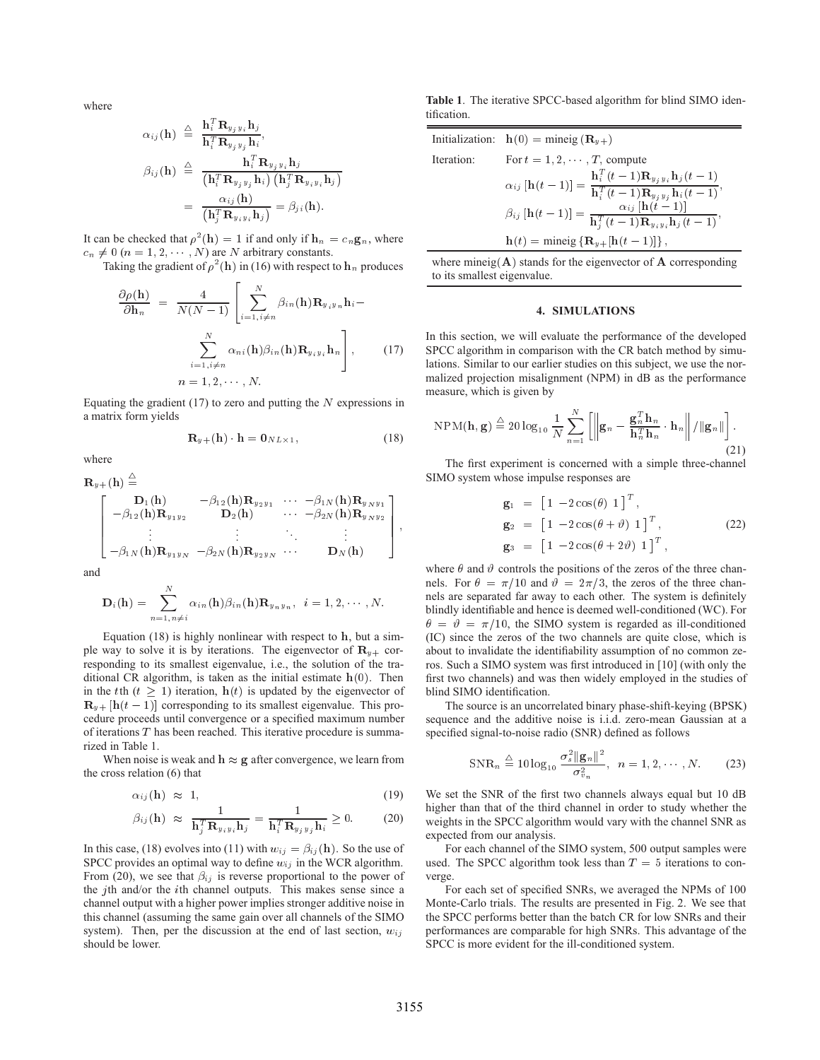where

$$
\alpha_{ij}(\mathbf{h}) \triangleq \frac{\mathbf{h}_i^T \mathbf{R}_{y_j y_i} \mathbf{h}_j}{\mathbf{h}_i^T \mathbf{R}_{y_j y_j} \mathbf{h}_i},
$$
\n
$$
\beta_{ij}(\mathbf{h}) \triangleq \frac{\mathbf{h}_i^T \mathbf{R}_{y_j y_j} \mathbf{h}_i}{(\mathbf{h}_i^T \mathbf{R}_{y_j y_j} \mathbf{h}_i) (\mathbf{h}_j^T \mathbf{R}_{y_i y_i} \mathbf{h}_j)}
$$
\n
$$
= \frac{\alpha_{ij}(\mathbf{h})}{(\mathbf{h}_j^T \mathbf{R}_{y_i y_i} \mathbf{h}_j)} = \beta_{ji}(\mathbf{h}).
$$

It can be checked that  $\rho^2(h) = 1$  if and only if  $h_n = c_n g_n$ , where  $c_n \neq 0$   $(n = 1, 2, \dots, N)$  are N arbitrary constants.

Taking the gradient of  $\rho^2$  (h) in (16) with respect to  $\mathbf{h}_n$  produces

$$
\frac{\partial \rho(\mathbf{h})}{\partial \mathbf{h}_n} = \frac{4}{N(N-1)} \left[ \sum_{i=1, i \neq n}^N \beta_{in}(\mathbf{h}) \mathbf{R}_{y_i y_n} \mathbf{h}_i - \frac{N}{2N} \alpha_{ni}(\mathbf{h}) \beta_{in}(\mathbf{h}) \mathbf{R}_{y_i y_i} \mathbf{h}_n \right], \qquad \text{(17)} \quad \text{SF} \quad \text{hat} \quad n = 1, 2, \cdots, N. \qquad \text{m}
$$

Equating the gradient (17) to zero and putting the  $N$  expressions in a matrix form yields

$$
\mathbf{R}_{y+}(\mathbf{h}) \cdot \mathbf{h} = \mathbf{0}_{NL \times 1},\tag{18}
$$

where

 $\lambda$ 

$$
\mathbf{R}_{y+}(\mathbf{h}) \stackrel{\triangleq}{=} \begin{bmatrix} \mathbf{D}_{1}(\mathbf{h}) & -\beta_{12}(\mathbf{h})\mathbf{R}_{y_{2}y_{1}} & \cdots & -\beta_{1N}(\mathbf{h})\mathbf{R}_{y_{N}y_{1}} \\ -\beta_{12}(\mathbf{h})\mathbf{R}_{y_{1}y_{2}} & \mathbf{D}_{2}(\mathbf{h}) & \cdots & -\beta_{2N}(\mathbf{h})\mathbf{R}_{y_{N}y_{2}} \\ \vdots & \vdots & \ddots & \vdots \\ -\beta_{1N}(\mathbf{h})\mathbf{R}_{y_{1}y_{N}} & -\beta_{2N}(\mathbf{h})\mathbf{R}_{y_{2}y_{N}} & \cdots & \mathbf{D}_{N}(\mathbf{h}) \end{bmatrix},
$$

and

$$
\mathbf{D}_i(\mathbf{h}) = \sum_{n=1, n \neq i}^{N} \alpha_{in}(\mathbf{h}) \beta_{in}(\mathbf{h}) \mathbf{R}_{y_n y_n}, \quad i = 1, 2, \cdots, N.
$$

Equation  $(18)$  is highly nonlinear with respect to  $h$ , but a simple way to solve it is by iterations. The eigenvector of  $\mathbf{R}_{y+}$  corresponding to its smallest eigenvalue, i.e., the solution of the traditional CR algorithm, is taken as the initial estimate  $h(0)$ . Then in the t<sup>th</sup>  $(t \geq 1)$  iteration,  $h(t)$  is updated by the eigenvector of  $\mathbf{R}_{y+}[\mathbf{h}(t-1)]$  corresponding to its smallest eigenvalue. This procedure proceeds until convergence or a specified maximum number of iterations  $T$  has been reached. This iterative procedure is summarized in Table 1.

When noise is weak and  $h \approx g$  after convergence, we learn from the cross relation (6) that

$$
\alpha_{ij}(\mathbf{h}) \approx 1, \tag{19}
$$

$$
\beta_{ij}(\mathbf{h}) \approx \frac{1}{\mathbf{h}_j^T \mathbf{R}_{y_i y_i} \mathbf{h}_j} = \frac{1}{\mathbf{h}_i^T \mathbf{R}_{y_j y_j} \mathbf{h}_i} \ge 0. \tag{20}
$$

In this case, (18) evolves into (11) with  $w_{ij} = \beta_{ij}(\mathbf{h})$ . So the use of SPCC provides an optimal way to define  $w_{ij}$  in the WCR algorithm. From (20), we see that  $\beta_{ij}$  is reverse proportional to the power of the  $j$ th and/or the  $i$ th channel outputs. This makes sense since a channel output with a higher power implies stronger additive noise in this channel (assuming the same gain over all channels of the SIMO system). Then, per the discussion at the end of last section,  $w_{ij}$ should be lower.

**Table 1**. The iterative SPCC-based algorithm for blind SIMO identification.

|            | Initialization: $h(0) = \text{mineig}(\mathbf{R}_{u+})$                                                                                                              |
|------------|----------------------------------------------------------------------------------------------------------------------------------------------------------------------|
| Iteration: | For $t = 1, 2, \ldots, T$ compute                                                                                                                                    |
|            | $\alpha_{ij}\left[\mathbf{h}(t-1)\right] = \frac{\mathbf{h}_i^T(t-1)\mathbf{R}_{y_jy_i}\mathbf{h}_j(t-1)}{\mathbf{h}_i^T(t-1)\mathbf{R}_{y_jy_j}\mathbf{h}_i(t-1)},$ |
|            | $\beta_{ij}\left[\mathbf{h}(t-1)\right] = \frac{\alpha_{ij}\left[\mathbf{h}(t-1)\right]}{\mathbf{h}_j^T(t-1)\mathbf{R}_{y_i y_i} \mathbf{h}_j(t-1)},$                |
|            | $\mathbf{h}(t) =$ mineig $\{\mathbf{R}_{y+}[\mathbf{h}(t-1)]\},\$                                                                                                    |

where mineig $(A)$  stands for the eigenvector of  $A$  corresponding to its smallest eigenvalue.

### **4. SIMULATIONS**

In this section, we will evaluate the performance of the developed SPCC algorithm in comparison with the CR batch method by simulations. Similar to our earlier studies on this subject, we use the normalized projection misalignment (NPM) in dB as the performance measure, which is given by

$$
NPM(\mathbf{h}, \mathbf{g}) \stackrel{\triangle}{=} 20 \log_{10} \frac{1}{N} \sum_{n=1}^{N} \left[ \left\| \mathbf{g}_n - \frac{\mathbf{g}_n^T \mathbf{h}_n}{\mathbf{h}_n^T \mathbf{h}_n} \cdot \mathbf{h}_n \right\| / \|\mathbf{g}_n\| \right].
$$
\n(21)

The first experiment is concerned with a simple three-channel SIMO system whose impulse responses are

$$
\mathbf{g}_1 = \begin{bmatrix} 1 & -2\cos(\theta) & 1 \end{bmatrix}^T,
$$
  
\n
$$
\mathbf{g}_2 = \begin{bmatrix} 1 & -2\cos(\theta + \vartheta) & 1 \end{bmatrix}^T,
$$
  
\n
$$
\mathbf{g}_3 = \begin{bmatrix} 1 & -2\cos(\theta + 2\vartheta) & 1 \end{bmatrix}^T,
$$
\n(22)

where  $\theta$  and  $\vartheta$  controls the positions of the zeros of the three channels. For  $\theta = \pi/10$  and  $\vartheta = 2\pi/3$ , the zeros of the three channels are separated far away to each other. The system is definitely blindly identifiable and hence is deemed well-conditioned (WC). For  $\theta = \theta = \pi/10$ , the SIMO system is regarded as ill-conditioned (IC) since the zeros of the two channels are quite close, which is about to invalidate the identifiability assumption of no common zeros. Such a SIMO system was first introduced in [10] (with only the first two channels) and was then widely employed in the studies of blind SIMO identification.

The source is an uncorrelated binary phase-shift-keying (BPSK) sequence and the additive noise is i.i.d. zero-mean Gaussian at a specified signal-to-noise radio (SNR) defined as follows

$$
\text{SNR}_n \triangleq 10 \log_{10} \frac{\sigma_s^2 \|\mathbf{g}_n\|^2}{\sigma_{v_n}^2}, \ \ n = 1, 2, \cdots, N. \tag{23}
$$

We set the SNR of the first two channels always equal but 10 dB higher than that of the third channel in order to study whether the weights in the SPCC algorithm would vary with the channel SNR as expected from our analysis.

For each channel of the SIMO system, 500 output samples were used. The SPCC algorithm took less than  $T = 5$  iterations to converge.

 performances are comparable for high SNRs. This advantage of the For each set of specified SNRs, we averaged the NPMs of 100 Monte-Carlo trials. The results are presented in Fig. 2. We see that the SPCC performs better than the batch CR for low SNRs and their SPCC is more evident for the ill-conditioned system.